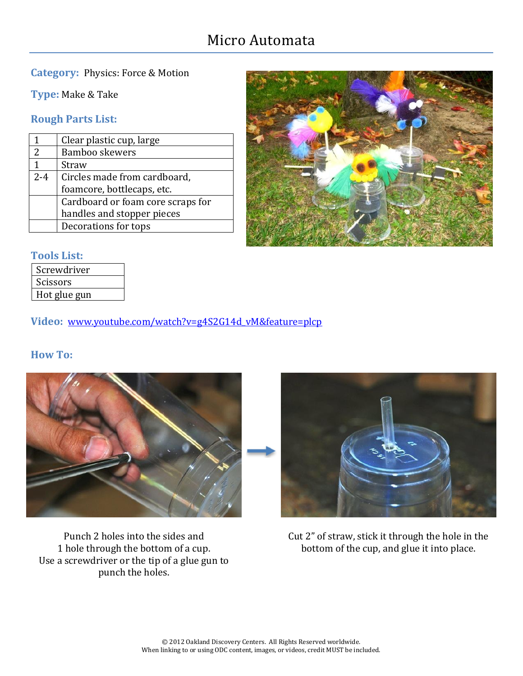# Micro Automata

### **Category:** Physics: Force & Motion

**Type:** Make & Take

### **Rough Parts List:**

|               | Clear plastic cup, large          |
|---------------|-----------------------------------|
| $\mathcal{P}$ | Bamboo skewers                    |
| 1             | Straw                             |
| $2 - 4$       | Circles made from cardboard,      |
|               | foamcore, bottlecaps, etc.        |
|               | Cardboard or foam core scraps for |
|               | handles and stopper pieces        |
|               | Decorations for tops              |



# **Tools List:**

| Screwdriver  |
|--------------|
| Scissors     |
| Hot glue gun |

**Video:** [www.youtube.com/watch?v=g4S2G14d\\_vM&feature=plcp](http://www.youtube.com/watch?v=g4S2G14d_vM&feature=plcp)

#### **How To:**



Punch 2 holes into the sides and 1 hole through the bottom of a cup. Use a screwdriver or the tip of a glue gun to punch the holes.



Cut 2" of straw, stick it through the hole in the bottom of the cup, and glue it into place.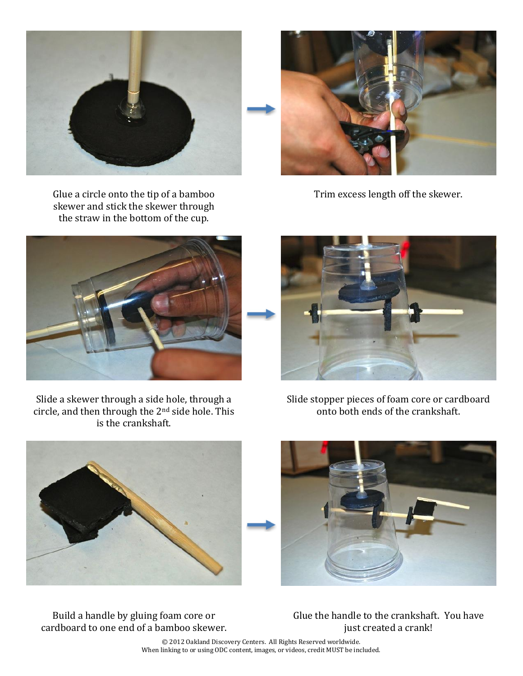

Glue a circle onto the tip of a bamboo skewer and stick the skewer through the straw in the bottom of the cup.

Trim excess length off the skewer.





Slide a skewer through a side hole, through a circle, and then through the 2nd side hole. This is the crankshaft.

Slide stopper pieces of foam core or cardboard onto both ends of the crankshaft.



Build a handle by gluing foam core or cardboard to one end of a bamboo skewer. Glue the handle to the crankshaft. You have just created a crank!

© 2012 Oakland Discovery Centers. All Rights Reserved worldwide. When linking to or using ODC content, images, or videos, credit MUST be included.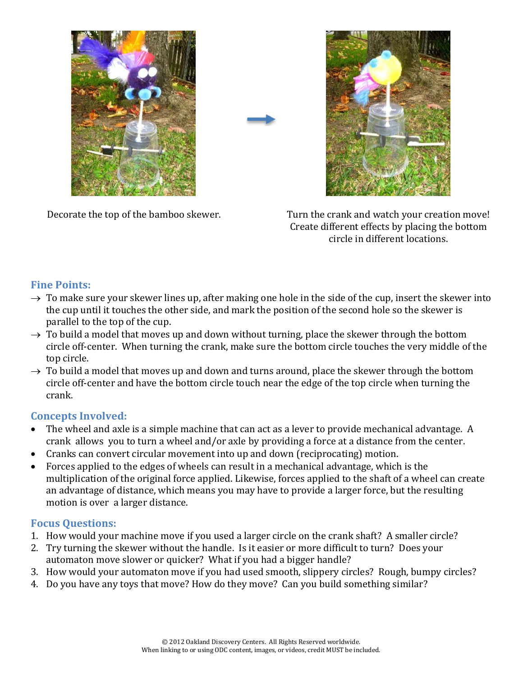





Decorate the top of the bamboo skewer. Turn the crank and watch your creation move! Create different effects by placing the bottom circle in different locations.

# **Fine Points:**

- $\rightarrow$  To make sure your skewer lines up, after making one hole in the side of the cup, insert the skewer into the cup until it touches the other side, and mark the position of the second hole so the skewer is parallel to the top of the cup.
- $\rightarrow$  To build a model that moves up and down without turning, place the skewer through the bottom circle off-center. When turning the crank, make sure the bottom circle touches the very middle of the top circle.
- $\rightarrow$  To build a model that moves up and down and turns around, place the skewer through the bottom circle off-center and have the bottom circle touch near the edge of the top circle when turning the crank.

# **Concepts Involved:**

- The wheel and axle is a simple machine that can act as a lever to provide mechanical advantage. A crank allows you to turn a wheel and/or axle by providing a force at a distance from the center.
- Cranks can convert circular movement into up and down (reciprocating) motion.
- Forces applied to the edges of wheels can result in a mechanical advantage, which is the multiplication of the original force applied. Likewise, forces applied to the shaft of a wheel can create an advantage of distance, which means you may have to provide a larger force, but the resulting motion is over a larger distance.

# **Focus Questions:**

- 1. How would your machine move if you used a larger circle on the crank shaft? A smaller circle?
- 2. Try turning the skewer without the handle. Is it easier or more difficult to turn? Does your automaton move slower or quicker? What if you had a bigger handle?
- 3. How would your automaton move if you had used smooth, slippery circles? Rough, bumpy circles?
- 4. Do you have any toys that move? How do they move? Can you build something similar?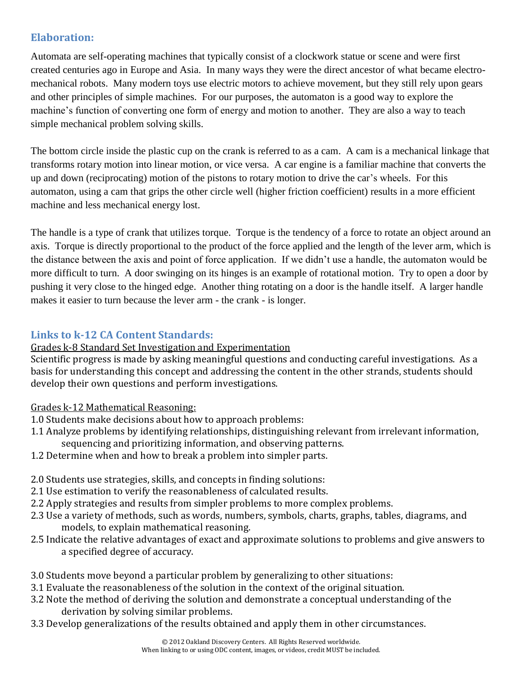## **Elaboration:**

Automata are self-operating machines that typically consist of a clockwork statue or scene and were first created centuries ago in Europe and Asia. In many ways they were the direct ancestor of what became electromechanical robots. Many modern toys use electric motors to achieve movement, but they still rely upon gears and other principles of simple machines. For our purposes, the automaton is a good way to explore the machine's function of converting one form of energy and motion to another. They are also a way to teach simple mechanical problem solving skills.

The bottom circle inside the plastic cup on the crank is referred to as a cam. A cam is a mechanical linkage that transforms rotary motion into linear motion, or vice versa. A car engine is a familiar machine that converts the up and down (reciprocating) motion of the pistons to rotary motion to drive the car's wheels. For this automaton, using a cam that grips the other circle well (higher friction coefficient) results in a more efficient machine and less mechanical energy lost.

The handle is a type of crank that utilizes torque. Torque is the tendency of a force to rotate an object around an axis. Torque is directly proportional to the product of the force applied and the length of the lever arm, which is the distance between the axis and point of force application. If we didn't use a handle, the automaton would be more difficult to turn. A door swinging on its hinges is an example of rotational motion. Try to open a door by pushing it very close to the hinged edge. Another thing rotating on a door is the handle itself. A larger handle makes it easier to turn because the lever arm - the crank - is longer.

# **Links to k-12 CA Content Standards:**

#### Grades k-8 Standard Set Investigation and Experimentation

Scientific progress is made by asking meaningful questions and conducting careful investigations. As a basis for understanding this concept and addressing the content in the other strands, students should develop their own questions and perform investigations.

#### Grades k-12 Mathematical Reasoning:

- 1.0 Students make decisions about how to approach problems:
- 1.1 Analyze problems by identifying relationships, distinguishing relevant from irrelevant information, sequencing and prioritizing information, and observing patterns.
- 1.2 Determine when and how to break a problem into simpler parts.
- 2.0 Students use strategies, skills, and concepts in finding solutions:
- 2.1 Use estimation to verify the reasonableness of calculated results.
- 2.2 Apply strategies and results from simpler problems to more complex problems.
- 2.3 Use a variety of methods, such as words, numbers, symbols, charts, graphs, tables, diagrams, and models, to explain mathematical reasoning.
- 2.5 Indicate the relative advantages of exact and approximate solutions to problems and give answers to a specified degree of accuracy.
- 3.0 Students move beyond a particular problem by generalizing to other situations:
- 3.1 Evaluate the reasonableness of the solution in the context of the original situation.
- 3.2 Note the method of deriving the solution and demonstrate a conceptual understanding of the derivation by solving similar problems.
- 3.3 Develop generalizations of the results obtained and apply them in other circumstances.